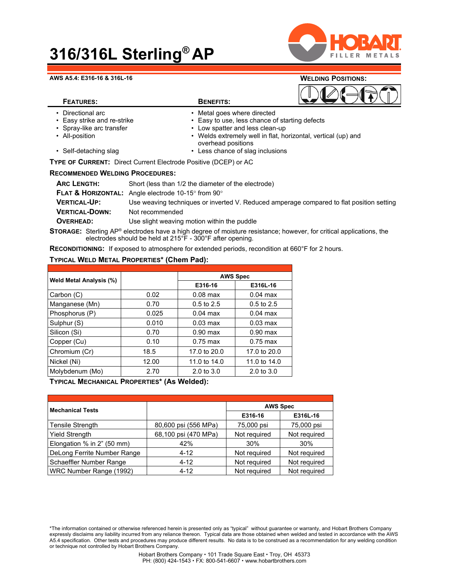## **316/316L Sterling® AP**



#### **AWS A5.4: E316-16 & 316L-16 WELDING POSITIONS:**

| VVELDING POSHIONS. |  |
|--------------------|--|
|                    |  |

### **FEATURES: BENEFITS:**

- 
- Directional arc  **Conservent Conservent 1** Metal goes where directed Easy strike and re-strike  **Conservent Easy to use**, less chance o
- 
- 
- Easy to use, less chance of starting defects • Spray-like arc transfer • Low spatter and less clean-up
- All-position Welds extremely well in flat, horizontal, vertical (up) and overhead positions
- Self-detaching slag **•** Less chance of slag inclusions

### **TYPE OF CURRENT:** Direct Current Electrode Positive (DCEP) or AC

#### **RECOMMENDED WELDING PROCEDURES:**

| <b>ARC LENGTH:</b>    | Short (less than 1/2 the diameter of the electrode)                                      |
|-----------------------|------------------------------------------------------------------------------------------|
|                       | <b>FLAT &amp; HORIZONTAL:</b> Angle electrode 10-15 $\degree$ from 90 $\degree$          |
| <b>VERTICAL-UP:</b>   | Use weaving techniques or inverted V. Reduced amperage compared to flat position setting |
| <b>VERTICAL-DOWN:</b> | Not recommended                                                                          |
| <b>OVERHEAD:</b>      | Use slight weaving motion within the puddle                                              |
|                       |                                                                                          |

**STORAGE:** Sterling AP® electrodes have a high degree of moisture resistance; however, for critical applications, the electrodes should be held at 215°F - 300°F after opening.

**RECONDITIONING:** If exposed to atmosphere for extended periods, recondition at 660°F for 2 hours.

#### **TYPICAL WELD METAL PROPERTIES\* (Chem Pad):**

| <b>Weld Metal Analysis (%)</b> |       | <b>AWS Spec</b>       |                       |  |
|--------------------------------|-------|-----------------------|-----------------------|--|
|                                |       | E316-16               | E316L-16              |  |
| Carbon (C)                     | 0.02  | $0.08$ max            | $0.04$ max            |  |
| Manganese (Mn)                 | 0.70  | $0.5$ to 2.5          | $0.5$ to 2.5          |  |
| Phosphorus (P)                 | 0.025 | $0.04$ max            | $0.04$ max            |  |
| Sulphur (S)                    | 0.010 | $0.03 \text{ max}$    | $0.03 \text{ max}$    |  |
| Silicon (Si)                   | 0.70  | $0.90$ max            | $0.90$ max            |  |
| Copper (Cu)                    | 0.10  | $0.75$ max            | $0.75$ max            |  |
| Chromium (Cr)                  | 18.5  | 17.0 to 20.0          | 17.0 to 20.0          |  |
| Nickel (Ni)                    | 12.00 | 11.0 to 14.0          | 11.0 to 14.0          |  |
| Molybdenum (Mo)                | 2.70  | $2.0 \text{ to } 3.0$ | $2.0 \text{ to } 3.0$ |  |

**TYPICAL MECHANICAL PROPERTIES\* (As Welded):**

| <b>Mechanical Tests</b>     |                      | <b>AWS Spec</b> |              |
|-----------------------------|----------------------|-----------------|--------------|
|                             |                      | E316-16         | E316L-16     |
| Tensile Strength            | 80,600 psi (556 MPa) | 75,000 psi      | 75,000 psi   |
| <b>Yield Strength</b>       | 68,100 psi (470 MPa) | Not required    | Not required |
| Elongation % in 2" (50 mm)  | 42%                  | 30%             | 30%          |
| DeLong Ferrite Number Range | $4 - 12$             | Not required    | Not required |
| Schaeffler Number Range     | $4 - 12$             | Not required    | Not required |
| WRC Number Range (1992)     | $4 - 12$             | Not required    | Not required |

<sup>\*</sup>The information contained or otherwise referenced herein is presented only as "typical" without guarantee or warranty, and Hobart Brothers Company expressly disclaims any liability incurred from any reliance thereon. Typical data are those obtained when welded and tested in accordance with the AWS A5.4 specification. Other tests and procedures may produce different results. No data is to be construed as a recommendation for any welding condition or technique not controlled by Hobart Brothers Company.